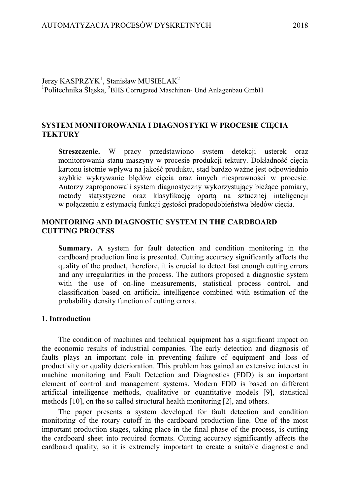Jerzy  $KASPRZYK^1$ , Stanisław MUSIELA $K^2$ <sup>1</sup>Politechnika Śląska, <sup>2</sup>BHS Corrugated Maschinen- Und Anlagenbau GmbH

# **SYSTEM MONITOROWANIA I DIAGNOSTYKI W PROCESIE CIĘCIA TEKTURY**

**Streszczenie.** W pracy przedstawiono system detekcji usterek oraz monitorowania stanu maszyny w procesie produkcji tektury. Dokładność cięcia kartonu istotnie wpływa na jakość produktu, stąd bardzo ważne jest odpowiednio szybkie wykrywanie błędów cięcia oraz innych niesprawności w procesie. Autorzy zaproponowali system diagnostyczny wykorzystujący bieżące pomiary, metody statystyczne oraz klasyfikację opartą na sztucznej inteligencji w połączeniu z estymacją funkcji gęstości pradopodobieństwa błędów cięcia.

## **MONITORING AND DIAGNOSTIC SYSTEM IN THE CARDBOARD CUTTING PROCESS**

**Summary.** A system for fault detection and condition monitoring in the cardboard production line is presented. Cutting accuracy significantly affects the quality of the product, therefore, it is crucial to detect fast enough cutting errors and any irregularities in the process. The authors proposed a diagnostic system with the use of on-line measurements, statistical process control, and classification based on artificial intelligence combined with estimation of the probability density function of cutting errors.

## **1. Introduction**

The condition of machines and technical equipment has a significant impact on the economic results of industrial companies. The early detection and diagnosis of faults plays an important role in preventing failure of equipment and loss of productivity or quality deterioration. This problem has gained an extensive interest in machine monitoring and Fault Detection and Diagnostics (FDD) is an important element of control and management systems. Modern FDD is based on different artificial intelligence methods, qualitative or quantitative models [\[9\]](#page-7-0), statistical methods [\[10\]](#page-7-1), on the so called structural health monitoring [\[2\]](#page-7-2), and others.

The paper presents a system developed for fault detection and condition monitoring of the rotary cutoff in the cardboard production line. One of the most important production stages, taking place in the final phase of the process, is cutting the cardboard sheet into required formats. Cutting accuracy significantly affects the cardboard quality, so it is extremely important to create a suitable diagnostic and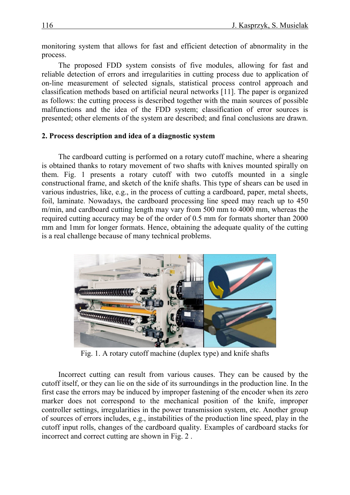monitoring system that allows for fast and efficient detection of abnormality in the process.

The proposed FDD system consists of five modules, allowing for fast and reliable detection of errors and irregularities in cutting process due to application of on-line measurement of selected signals, statistical process control approach and classification methods based on artificial neural networks [\[11\]](#page-7-3). The paper is organized as follows: the cutting process is described together with the main sources of possible malfunctions and the idea of the FDD system; classification of error sources is presented; other elements of the system are described; and final conclusions are drawn.

## **2. Process description and idea of a diagnostic system**

The cardboard cutting is performed on a rotary cutoff machine, where a shearing is obtained thanks to rotary movement of two shafts with knives mounted spirally on them. Fig. 1 presents a rotary cutoff with two cutoffs mounted in a single constructional frame, and sketch of the knife shafts. This type of shears can be used in various industries, like, e.g., in the process of cutting a cardboard, paper, metal sheets, foil, laminate. Nowadays, the cardboard processing line speed may reach up to 450 m/min, and cardboard cutting length may vary from 500 mm to 4000 mm, whereas the required cutting accuracy may be of the order of 0.5 mm for formats shorter than 2000 mm and 1mm for longer formats. Hence, obtaining the adequate quality of the cutting is a real challenge because of many technical problems.



Fig. 1. A rotary cutoff machine (duplex type) and knife shafts

Incorrect cutting can result from various causes. They can be caused by the cutoff itself, or they can lie on the side of its surroundings in the production line. In the first case the errors may be induced by improper fastening of the encoder when its zero marker does not correspond to the mechanical position of the knife, improper controller settings, irregularities in the power transmission system, etc. Another group of sources of errors includes, e.g., instabilities of the production line speed, play in the cutoff input rolls, changes of the cardboard quality. Examples of cardboard stacks for incorrect and correct cutting are shown in Fig. 2 .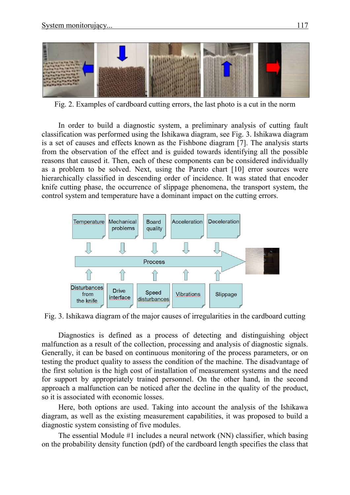

Fig. 2. Examples of cardboard cutting errors, the last photo is a cut in the norm

In order to build a diagnostic system, a preliminary analysis of cutting fault classification was performed using the Ishikawa diagram, see Fig. 3. Ishikawa diagram is a set of causes and effects known as the Fishbone diagram [\[7\]](#page-7-4). The analysis starts from the observation of the effect and is guided towards identifying all the possible reasons that caused it. Then, each of these components can be considered individually as a problem to be solved. Next, using the Pareto chart [\[10\]](#page-7-1) error sources were hierarchically classified in descending order of incidence. It was stated that encoder knife cutting phase, the occurrence of slippage phenomena, the transport system, the control system and temperature have a dominant impact on the cutting errors.



Fig. 3. Ishikawa diagram of the major causes of irregularities in the cardboard cutting

Diagnostics is defined as a process of detecting and distinguishing object malfunction as a result of the collection, processing and analysis of diagnostic signals. Generally, it can be based on continuous monitoring of the process parameters, or on testing the product quality to assess the condition of the machine. The disadvantage of the first solution is the high cost of installation of measurement systems and the need for support by appropriately trained personnel. On the other hand, in the second approach a malfunction can be noticed after the decline in the quality of the product, so it is associated with economic losses.

Here, both options are used. Taking into account the analysis of the Ishikawa diagram, as well as the existing measurement capabilities, it was proposed to build a diagnostic system consisting of five modules.

The essential Module #1 includes a neural network (NN) classifier, which basing on the probability density function (pdf) of the cardboard length specifies the class that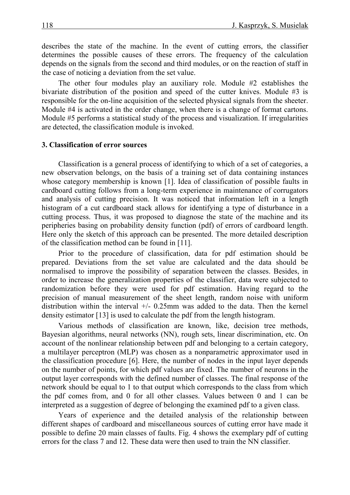describes the state of the machine. In the event of cutting errors, the classifier determines the possible causes of these errors. The frequency of the calculation depends on the signals from the second and third modules, or on the reaction of staff in the case of noticing a deviation from the set value.

The other four modules play an auxiliary role. Module #2 establishes the bivariate distribution of the position and speed of the cutter knives. Module #3 is responsible for the on-line acquisition of the selected physical signals from the sheeter. Module #4 is activated in the order change, when there is a change of format cartons. Module #5 performs a statistical study of the process and visualization. If irregularities are detected, the classification module is invoked.

### **3. Classification of error sources**

Classification is a general process of identifying to which of a set of categories, a new observation belongs, on the basis of a training set of data containing instances whose category membership is known [\[1\]](#page-7-5). Idea of classification of possible faults in cardboard cutting follows from a long-term experience in maintenance of corrugators and analysis of cutting precision. It was noticed that information left in a length histogram of a cut cardboard stack allows for identifying a type of disturbance in a cutting process. Thus, it was proposed to diagnose the state of the machine and its peripheries basing on probability density function (pdf) of errors of cardboard length. Here only the sketch of this approach can be presented. The more detailed description of the classification method can be found in [\[11\]](#page-7-3).

Prior to the procedure of classification, data for pdf estimation should be prepared. Deviations from the set value are calculated and the data should be normalised to improve the possibility of separation between the classes. Besides, in order to increase the generalization properties of the classifier, data were subjected to randomization before they were used for pdf estimation. Having regard to the precision of manual measurement of the sheet length, random noise with uniform distribution within the interval  $+/- 0.25$ mm was added to the data. Then the kernel density estimator [\[13\]](#page-7-6) is used to calculate the pdf from the length histogram.

Various methods of classification are known, like, decision tree methods, Bayesian algorithms, neural networks (NN), rough sets, linear discrimination, etc. On account of the nonlinear relationship between pdf and belonging to a certain category, a multilayer perceptron (MLP) was chosen as a nonparametric approximator used in the classification procedure [\[6\]](#page-7-7). Here, the number of nodes in the input layer depends on the number of points, for which pdf values are fixed. The number of neurons in the output layer corresponds with the defined number of classes. The final response of the network should be equal to 1 to that output which corresponds to the class from which the pdf comes from, and 0 for all other classes. Values between 0 and 1 can be interpreted as a suggestion of degree of belonging the examined pdf to a given class.

Years of experience and the detailed analysis of the relationship between different shapes of cardboard and miscellaneous sources of cutting error have made it possible to define 20 main classes of faults. Fig. 4 shows the exemplary pdf of cutting errors for the class 7 and 12. These data were then used to train the NN classifier.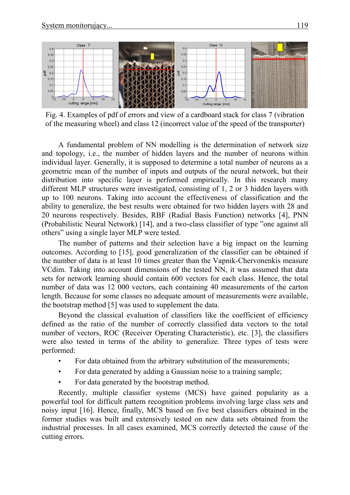

Fig. 4. Examples of pdf of errors and view of a cardboard stack for class 7 (vibration of the measuring wheel) and class 12 (incorrect value of the speed of the transporter)

A fundamental problem of NN modelling is the determination of network size and topology, i.e., the number of hidden layers and the number of neurons within individual layer. Generally, it is supposed to determine a total number of neurons as a geometric mean of the number of inputs and outputs of the neural network, but their distribution into specific layer is performed empirically. In this research many different MLP structures were investigated, consisting of 1, 2 or 3 hidden layers with up to 100 neurons. Taking into account the effectiveness of classification and the ability to generalize, the best results were obtained for two hidden layers with 28 and 20 neurons respectively. Besides, RBF (Radial Basis Function) networks [\[4\]](#page-7-8), PNN (Probabilistic Neural Network) [\[14\]](#page-7-9), and a two-class classifier of type "one against all others" using a single layer MLP were tested.

The number of patterns and their selection have a big impact on the learning outcomes. According to [\[15\]](#page-7-10), good generalization of the classifier can be obtained if the number of data is at least 10 times greater than the Vapnik-Chervonenkis measure VCdim. Taking into account dimensions of the tested NN, it was assumed that data sets for network learning should contain 600 vectors for each class. Hence, the total number of data was 12 000 vectors, each containing 40 measurements of the carton length. Because for some classes no adequate amount of measurements were available, the bootstrap method [\[5\]](#page-7-11) was used to supplement the data.

Beyond the classical evaluation of classifiers like the coefficient of efficiency defined as the ratio of the number of correctly classified data vectors to the total number of vectors, ROC (Receiver Operating Characteristic), etc. [\[3\]](#page-7-12), the classifiers were also tested in terms of the ability to generalize. Three types of tests were performed:

- For data obtained from the arbitrary substitution of the measurements;
- For data generated by adding a Gaussian noise to a training sample;
- For data generated by the bootstrap method.

Recently, multiple classifier systems (MCS) have gained popularity as a powerful tool for difficult pattern recognition problems involving large class sets and noisy input [\[16\]](#page-7-13). Hence, finally, MCS based on five best classifiers obtained in the former studies was built and extensively tested on new data sets obtained from the industrial processes. In all cases examined, MCS correctly detected the cause of the cutting errors.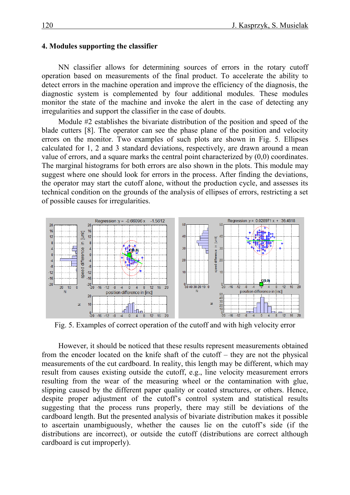#### **4. Modules supporting the classifier**

NN classifier allows for determining sources of errors in the rotary cutoff operation based on measurements of the final product. To accelerate the ability to detect errors in the machine operation and improve the efficiency of the diagnosis, the diagnostic system is complemented by four additional modules. These modules monitor the state of the machine and invoke the alert in the case of detecting any irregularities and support the classifier in the case of doubts.

Module #2 establishes the bivariate distribution of the position and speed of the blade cutters [\[8\]](#page-7-14). The operator can see the phase plane of the position and velocity errors on the monitor. Two examples of such plots are shown in Fig. 5. Ellipses calculated for 1, 2 and 3 standard deviations, respectively, are drawn around a mean value of errors, and a square marks the central point characterized by (0,0) coordinates. The marginal histograms for both errors are also shown in the plots. This module may suggest where one should look for errors in the process. After finding the deviations, the operator may start the cutoff alone, without the production cycle, and assesses its technical condition on the grounds of the analysis of ellipses of errors, restricting a set of possible causes for irregularities.



Fig. 5. Examples of correct operation of the cutoff and with high velocity error

However, it should be noticed that these results represent measurements obtained from the encoder located on the knife shaft of the cutoff – they are not the physical measurements of the cut cardboard. In reality, this length may be different, which may result from causes existing outside the cutoff, e.g., line velocity measurement errors resulting from the wear of the measuring wheel or the contamination with glue, slipping caused by the different paper quality or coated structures, or others. Hence, despite proper adjustment of the cutoff's control system and statistical results suggesting that the process runs properly, there may still be deviations of the cardboard length. But the presented analysis of bivariate distribution makes it possible to ascertain unambiguously, whether the causes lie on the cutoff's side (if the distributions are incorrect), or outside the cutoff (distributions are correct although cardboard is cut improperly).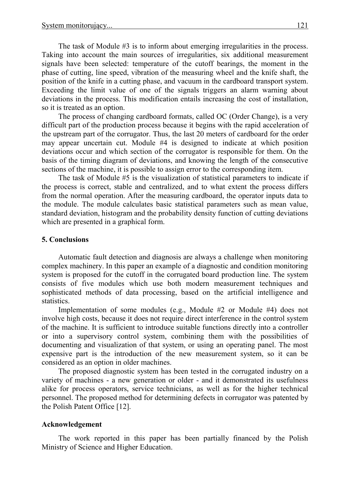The task of Module #3 is to inform about emerging irregularities in the process. Taking into account the main sources of irregularities, six additional measurement signals have been selected: temperature of the cutoff bearings, the moment in the phase of cutting, line speed, vibration of the measuring wheel and the knife shaft, the position of the knife in a cutting phase, and vacuum in the cardboard transport system. Exceeding the limit value of one of the signals triggers an alarm warning about deviations in the process. This modification entails increasing the cost of installation, so it is treated as an option.

The process of changing cardboard formats, called OC (Order Change), is a very difficult part of the production process because it begins with the rapid acceleration of the upstream part of the corrugator. Thus, the last 20 meters of cardboard for the order may appear uncertain cut. Module #4 is designed to indicate at which position deviations occur and which section of the corrugator is responsible for them. On the basis of the timing diagram of deviations, and knowing the length of the consecutive sections of the machine, it is possible to assign error to the corresponding item.

The task of Module #5 is the visualization of statistical parameters to indicate if the process is correct, stable and centralized, and to what extent the process differs from the normal operation. After the measuring cardboard, the operator inputs data to the module. The module calculates basic statistical parameters such as mean value, standard deviation, histogram and the probability density function of cutting deviations which are presented in a graphical form.

## **5. Conclusions**

Automatic fault detection and diagnosis are always a challenge when monitoring complex machinery. In this paper an example of a diagnostic and condition monitoring system is proposed for the cutoff in the corrugated board production line. The system consists of five modules which use both modern measurement techniques and sophisticated methods of data processing, based on the artificial intelligence and statistics.

Implementation of some modules (e.g., Module #2 or Module #4) does not involve high costs, because it does not require direct interference in the control system of the machine. It is sufficient to introduce suitable functions directly into a controller or into a supervisory control system, combining them with the possibilities of documenting and visualization of that system, or using an operating panel. The most expensive part is the introduction of the new measurement system, so it can be considered as an option in older machines.

The proposed diagnostic system has been tested in the corrugated industry on a variety of machines - a new generation or older - and it demonstrated its usefulness alike for process operators, service technicians, as well as for the higher technical personnel. The proposed method for determining defects in corrugator was patented by the Polish Patent Office [\[12\]](#page-7-15).

## **Acknowledgement**

The work reported in this paper has been partially financed by the Polish Ministry of Science and Higher Education.